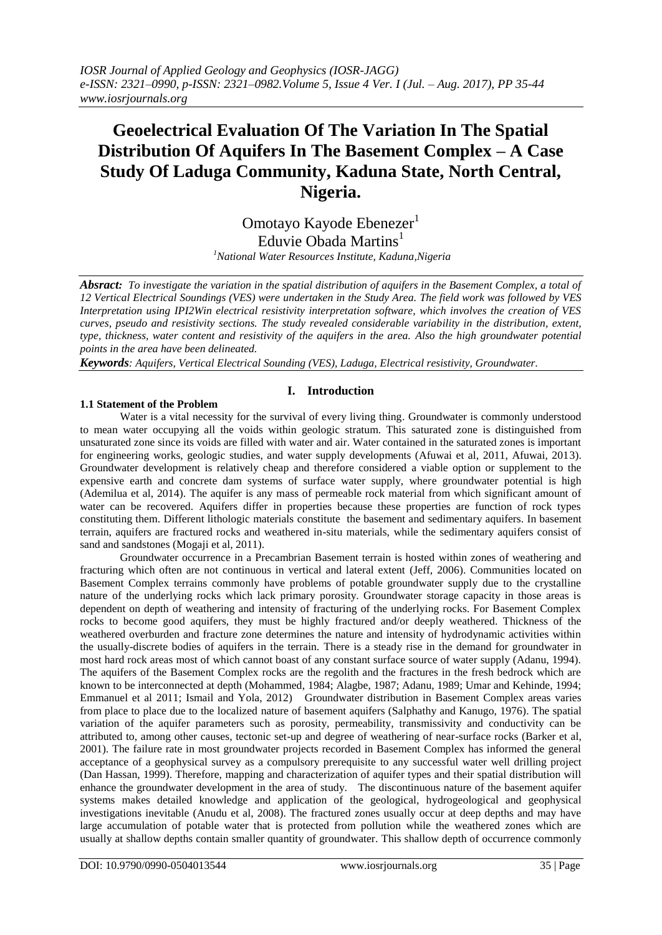# **Geoelectrical Evaluation Of The Variation In The Spatial Distribution Of Aquifers In The Basement Complex – A Case Study Of Laduga Community, Kaduna State, North Central, Nigeria.**

Omotayo Kayode Ebenezer<sup>1</sup> Eduvie Obada Martins<sup>1</sup> *<sup>1</sup>National Water Resources Institute, Kaduna,Nigeria*

*Absract: To investigate the variation in the spatial distribution of aquifers in the Basement Complex, a total of 12 Vertical Electrical Soundings (VES) were undertaken in the Study Area. The field work was followed by VES Interpretation using IPI2Win electrical resistivity interpretation software, which involves the creation of VES curves, pseudo and resistivity sections. The study revealed considerable variability in the distribution, extent, type, thickness, water content and resistivity of the aquifers in the area. Also the high groundwater potential points in the area have been delineated.* 

*Keywords: Aquifers, Vertical Electrical Sounding (VES), Laduga, Electrical resistivity, Groundwater.*

# **I. Introduction**

#### **1.1 Statement of the Problem**

Water is a vital necessity for the survival of every living thing. Groundwater is commonly understood to mean water occupying all the voids within geologic stratum. This saturated zone is distinguished from unsaturated zone since its voids are filled with water and air. Water contained in the saturated zones is important for engineering works, geologic studies, and water supply developments (Afuwai et al, 2011, Afuwai, 2013). Groundwater development is relatively cheap and therefore considered a viable option or supplement to the expensive earth and concrete dam systems of surface water supply, where groundwater potential is high (Ademilua et al, 2014). The aquifer is any mass of permeable rock material from which significant amount of water can be recovered. Aquifers differ in properties because these properties are function of rock types constituting them. Different lithologic materials constitute the basement and sedimentary aquifers. In basement terrain, aquifers are fractured rocks and weathered in-situ materials, while the sedimentary aquifers consist of sand and sandstones (Mogaji et al, 2011).

Groundwater occurrence in a Precambrian Basement terrain is hosted within zones of weathering and fracturing which often are not continuous in vertical and lateral extent (Jeff, 2006). Communities located on Basement Complex terrains commonly have problems of potable groundwater supply due to the crystalline nature of the underlying rocks which lack primary porosity. Groundwater storage capacity in those areas is dependent on depth of weathering and intensity of fracturing of the underlying rocks. For Basement Complex rocks to become good aquifers, they must be highly fractured and/or deeply weathered. Thickness of the weathered overburden and fracture zone determines the nature and intensity of hydrodynamic activities within the usually-discrete bodies of aquifers in the terrain. There is a steady rise in the demand for groundwater in most hard rock areas most of which cannot boast of any constant surface source of water supply (Adanu, 1994). The aquifers of the Basement Complex rocks are the regolith and the fractures in the fresh bedrock which are known to be interconnected at depth (Mohammed, 1984; Alagbe, 1987; Adanu, 1989; Umar and Kehinde, 1994; Emmanuel et al 2011; Ismail and Yola, 2012) Groundwater distribution in Basement Complex areas varies from place to place due to the localized nature of basement aquifers (Salphathy and Kanugo, 1976). The spatial variation of the aquifer parameters such as porosity, permeability, transmissivity and conductivity can be attributed to, among other causes, tectonic set-up and degree of weathering of near-surface rocks (Barker et al, 2001). The failure rate in most groundwater projects recorded in Basement Complex has informed the general acceptance of a geophysical survey as a compulsory prerequisite to any successful water well drilling project (Dan Hassan, 1999). Therefore, mapping and characterization of aquifer types and their spatial distribution will enhance the groundwater development in the area of study. The discontinuous nature of the basement aquifer systems makes detailed knowledge and application of the geological, hydrogeological and geophysical investigations inevitable (Anudu et al, 2008). The fractured zones usually occur at deep depths and may have large accumulation of potable water that is protected from pollution while the weathered zones which are usually at shallow depths contain smaller quantity of groundwater. This shallow depth of occurrence commonly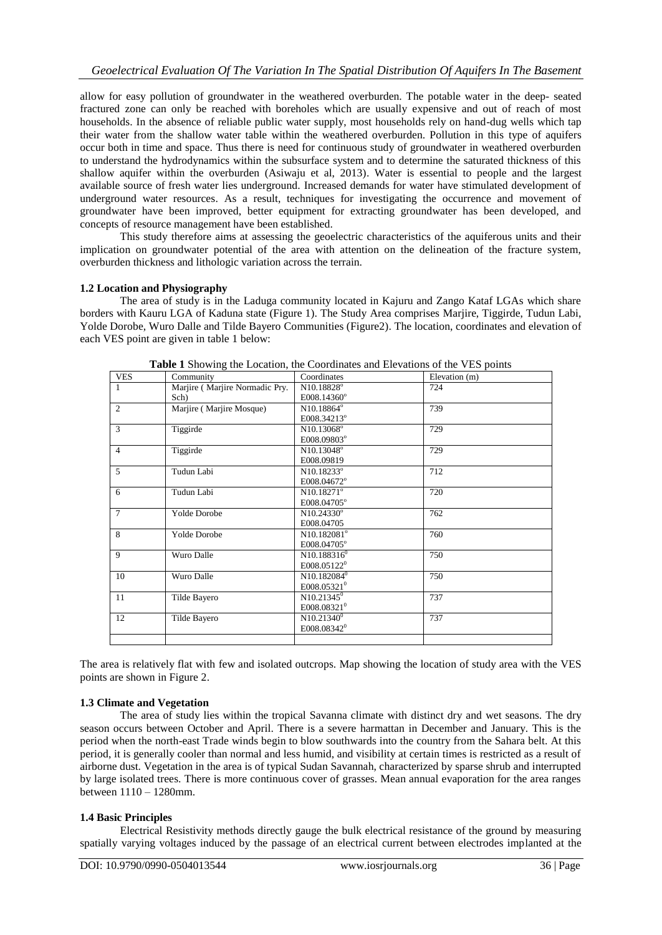allow for easy pollution of groundwater in the weathered overburden. The potable water in the deep- seated fractured zone can only be reached with boreholes which are usually expensive and out of reach of most households. In the absence of reliable public water supply, most households rely on hand-dug wells which tap their water from the shallow water table within the weathered overburden. Pollution in this type of aquifers occur both in time and space. Thus there is need for continuous study of groundwater in weathered overburden to understand the hydrodynamics within the subsurface system and to determine the saturated thickness of this shallow aquifer within the overburden (Asiwaju et al, 2013). Water is essential to people and the largest available source of fresh water lies underground. Increased demands for water have stimulated development of underground water resources. As a result, techniques for investigating the occurrence and movement of groundwater have been improved, better equipment for extracting groundwater has been developed, and concepts of resource management have been established.

This study therefore aims at assessing the geoelectric characteristics of the aquiferous units and their implication on groundwater potential of the area with attention on the delineation of the fracture system, overburden thickness and lithologic variation across the terrain.

# **1.2 Location and Physiography**

The area of study is in the Laduga community located in Kajuru and Zango Kataf LGAs which share borders with Kauru LGA of Kaduna state (Figure 1). The Study Area comprises Marjire, Tiggirde, Tudun Labi, Yolde Dorobe, Wuro Dalle and Tilde Bayero Communities (Figure2). The location, coordinates and elevation of each VES point are given in table 1 below:

| <b>VES</b>     | Community                      | Coordinates             | Elevation (m) |
|----------------|--------------------------------|-------------------------|---------------|
| $\mathbf{1}$   | Marjire (Marjire Normadic Pry. | N10.18828°              | 724           |
|                | Sch)                           | E008.14360°             |               |
| $\overline{c}$ | Marjire (Marjire Mosque)       | N10.18864°              | 739           |
|                |                                | E008.34213°             |               |
| 3              | Tiggirde                       | N10.13068°              | 729           |
|                |                                | E008.09803°             |               |
| 4              | Tiggirde                       | N10.13048°              | 729           |
|                |                                | E008.09819              |               |
| 5              | Tudun Labi                     | N10.18233°              | 712           |
|                |                                | E008.04672°             |               |
| 6              | Tudun Labi                     | $N10.18271^{\circ}$     | 720           |
|                |                                | E008.04705°             |               |
| 7              | <b>Yolde Dorobe</b>            | $N10.24330^{\circ}$     | 762           |
|                |                                | E008.04705              |               |
| 8              | Yolde Dorobe                   | N10.182081°             | 760           |
|                |                                | E008.04705°             |               |
| 9              | Wuro Dalle                     | $N10.188316^{0}$        | 750           |
|                |                                | E008.05122 <sup>0</sup> |               |
| 10             | Wuro Dalle                     | $N10.182084^0$          | 750           |
|                |                                | E008.05321 <sup>0</sup> |               |
| 11             | Tilde Bayero                   | $N10.21345^0$           | 737           |
|                |                                | E008.08321 <sup>0</sup> |               |
| 12             | Tilde Bayero                   | $N10.21340^0$           | 737           |
|                |                                | E008.08342 <sup>0</sup> |               |
|                |                                |                         |               |

**Table 1** Showing the Location, the Coordinates and Elevations of the VES points

The area is relatively flat with few and isolated outcrops. Map showing the location of study area with the VES points are shown in Figure 2.

# **1.3 Climate and Vegetation**

The area of study lies within the tropical Savanna climate with distinct dry and wet seasons. The dry season occurs between October and April. There is a severe harmattan in December and January. This is the period when the north-east Trade winds begin to blow southwards into the country from the Sahara belt. At this period, it is generally cooler than normal and less humid, and visibility at certain times is restricted as a result of airborne dust. Vegetation in the area is of typical Sudan Savannah, characterized by sparse shrub and interrupted by large isolated trees. There is more continuous cover of grasses. Mean annual evaporation for the area ranges between 1110 – 1280mm.

# **1.4 Basic Principles**

Electrical Resistivity methods directly gauge the bulk electrical resistance of the ground by measuring spatially varying voltages induced by the passage of an electrical current between electrodes implanted at the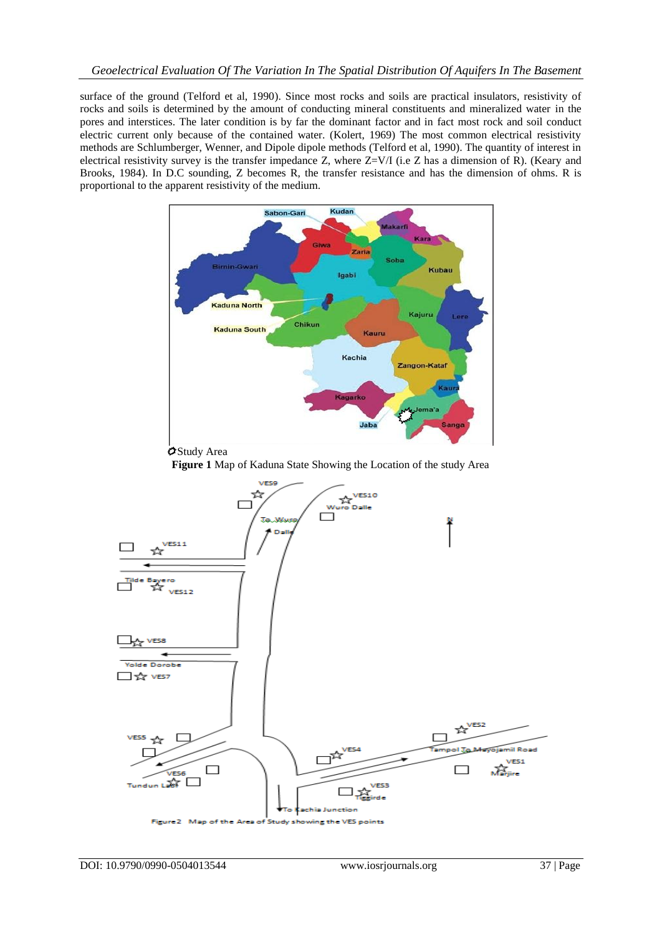surface of the ground (Telford et al, 1990). Since most rocks and soils are practical insulators, resistivity of rocks and soils is determined by the amount of conducting mineral constituents and mineralized water in the pores and interstices. The later condition is by far the dominant factor and in fact most rock and soil conduct electric current only because of the contained water. (Kolert, 1969) The most common electrical resistivity methods are Schlumberger, Wenner, and Dipole dipole methods (Telford et al, 1990). The quantity of interest in electrical resistivity survey is the transfer impedance Z, where  $Z=V/I$  (i.e Z has a dimension of R). (Keary and Brooks, 1984). In D.C sounding, Z becomes R, the transfer resistance and has the dimension of ohms. R is proportional to the apparent resistivity of the medium.



Study Area

**Figure 1** Map of Kaduna State Showing the Location of the study Area

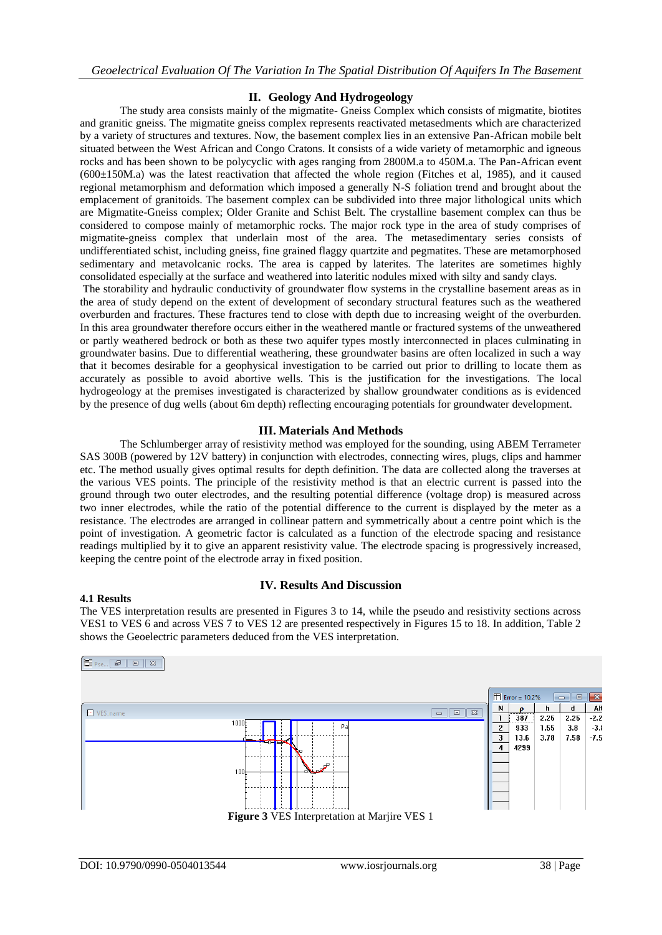# **II. Geology And Hydrogeology**

The study area consists mainly of the migmatite- Gneiss Complex which consists of migmatite, biotites and granitic gneiss. The migmatite gneiss complex represents reactivated metasedments which are characterized by a variety of structures and textures. Now, the basement complex lies in an extensive Pan-African mobile belt situated between the West African and Congo Cratons. It consists of a wide variety of metamorphic and igneous rocks and has been shown to be polycyclic with ages ranging from 2800M.a to 450M.a. The Pan-African event  $(600±150M.a)$  was the latest reactivation that affected the whole region (Fitches et al, 1985), and it caused regional metamorphism and deformation which imposed a generally N-S foliation trend and brought about the emplacement of granitoids. The basement complex can be subdivided into three major lithological units which are Migmatite-Gneiss complex; Older Granite and Schist Belt. The crystalline basement complex can thus be considered to compose mainly of metamorphic rocks. The major rock type in the area of study comprises of migmatite-gneiss complex that underlain most of the area. The metasedimentary series consists of undifferentiated schist, including gneiss, fine grained flaggy quartzite and pegmatites. These are metamorphosed sedimentary and metavolcanic rocks. The area is capped by laterites. The laterites are sometimes highly consolidated especially at the surface and weathered into lateritic nodules mixed with silty and sandy clays.

The storability and hydraulic conductivity of groundwater flow systems in the crystalline basement areas as in the area of study depend on the extent of development of secondary structural features such as the weathered overburden and fractures. These fractures tend to close with depth due to increasing weight of the overburden. In this area groundwater therefore occurs either in the weathered mantle or fractured systems of the unweathered or partly weathered bedrock or both as these two aquifer types mostly interconnected in places culminating in groundwater basins. Due to differential weathering, these groundwater basins are often localized in such a way that it becomes desirable for a geophysical investigation to be carried out prior to drilling to locate them as accurately as possible to avoid abortive wells. This is the justification for the investigations. The local hydrogeology at the premises investigated is characterized by shallow groundwater conditions as is evidenced by the presence of dug wells (about 6m depth) reflecting encouraging potentials for groundwater development.

# **III. Materials And Methods**

The Schlumberger array of resistivity method was employed for the sounding, using ABEM Terrameter SAS 300B (powered by 12V battery) in conjunction with electrodes, connecting wires, plugs, clips and hammer etc. The method usually gives optimal results for depth definition. The data are collected along the traverses at the various VES points. The principle of the resistivity method is that an electric current is passed into the ground through two outer electrodes, and the resulting potential difference (voltage drop) is measured across two inner electrodes, while the ratio of the potential difference to the current is displayed by the meter as a resistance. The electrodes are arranged in collinear pattern and symmetrically about a centre point which is the point of investigation. A geometric factor is calculated as a function of the electrode spacing and resistance readings multiplied by it to give an apparent resistivity value. The electrode spacing is progressively increased, keeping the centre point of the electrode array in fixed position.

#### **4.1 Results**

# **IV. Results And Discussion**

The VES interpretation results are presented in Figures 3 to 14, while the pseudo and resistivity sections across VES1 to VES 6 and across VES 7 to VES 12 are presented respectively in Figures 15 to 18. In addition, Table 2 shows the Geoelectric parameters deduced from the VES interpretation.

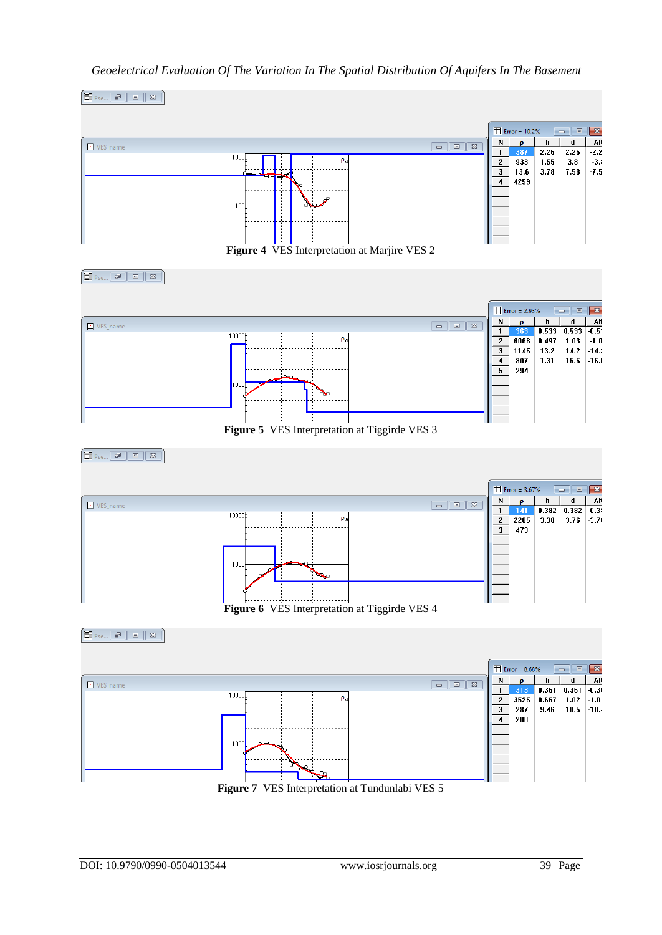

# *Geoelectrical Evaluation Of The Variation In The Spatial Distribution Of Aquifers In The Basement*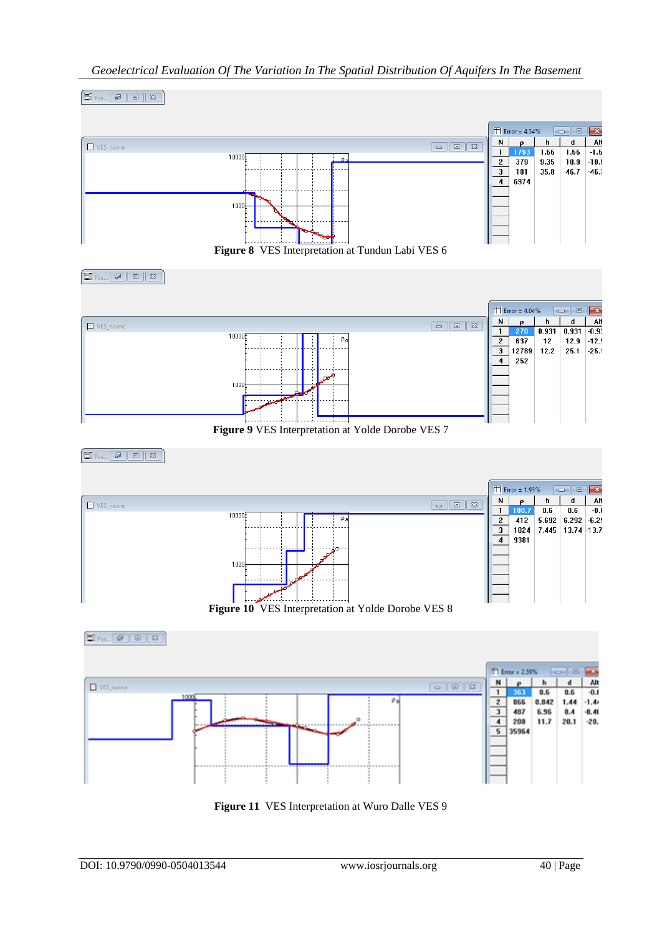

# *Geoelectrical Evaluation Of The Variation In The Spatial Distribution Of Aquifers In The Basement*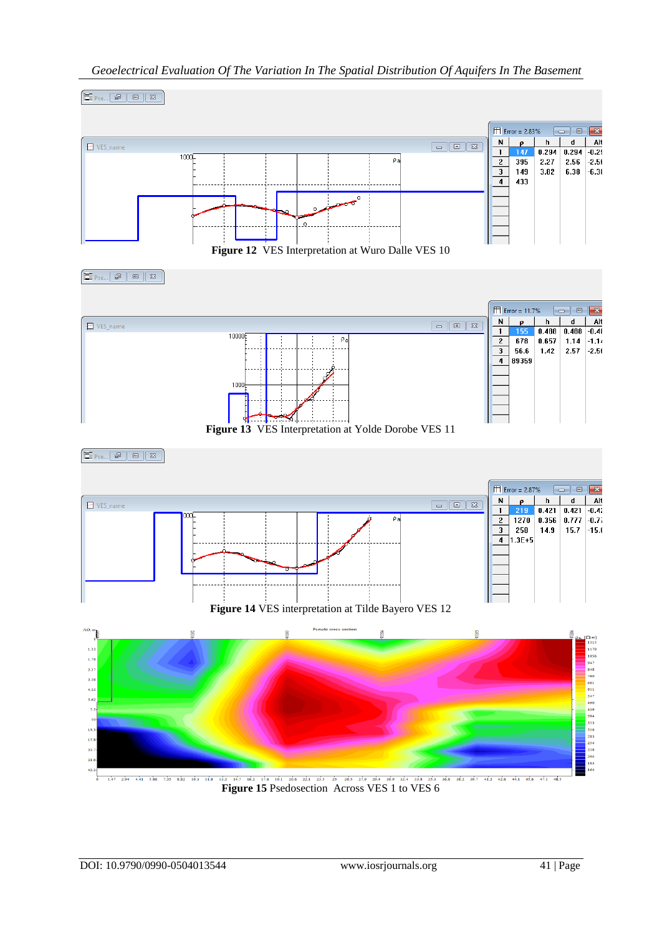

# *Geoelectrical Evaluation Of The Variation In The Spatial Distribution Of Aquifers In The Basement*

**Figure 15** Psedosection Across VES 1 to VES 6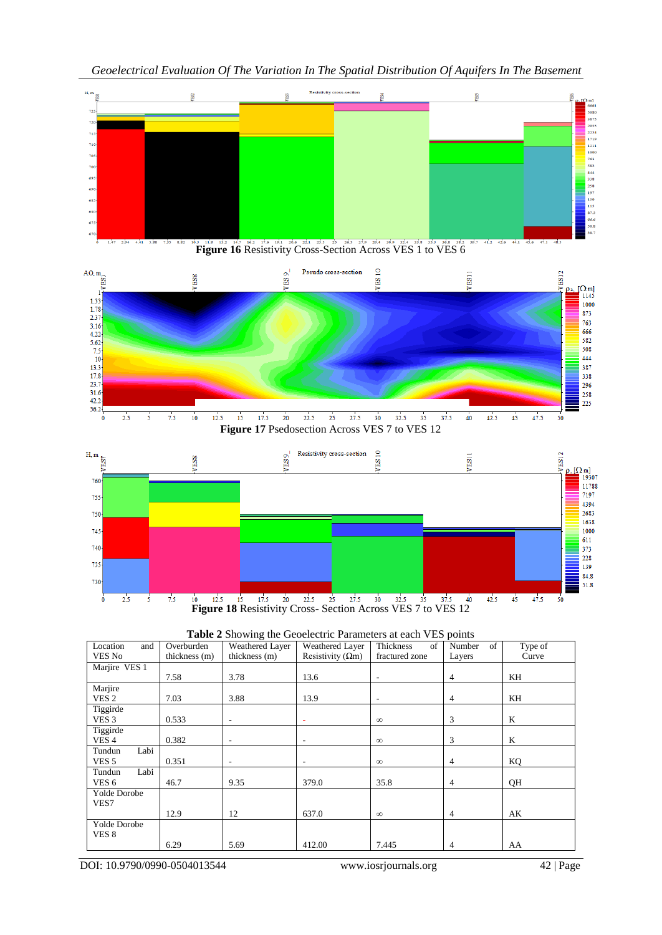



| Table 2 Showing the Geoelectric Parameters at each VES points |  |
|---------------------------------------------------------------|--|
|---------------------------------------------------------------|--|

| Location<br>and<br>VES No | Overburden<br>thickness (m) | Weathered Layer<br>thickness (m) | Weathered Layer<br>Resistivity ( $\Omega$ m) | of<br>Thickness<br>fractured zone | of<br>Number<br>Layers | Type of<br>Curve |
|---------------------------|-----------------------------|----------------------------------|----------------------------------------------|-----------------------------------|------------------------|------------------|
| Marjire VES 1             |                             |                                  |                                              |                                   |                        |                  |
|                           | 7.58                        | 3.78                             | 13.6                                         | ٠                                 | $\overline{4}$         | KH               |
| Marjire                   |                             |                                  |                                              |                                   |                        |                  |
| VES 2                     | 7.03                        | 3.88                             | 13.9                                         | $\overline{\phantom{a}}$          | $\overline{4}$         | KH               |
| Tiggirde                  |                             |                                  |                                              |                                   |                        |                  |
| VES <sub>3</sub>          | 0.533                       | $\overline{\phantom{a}}$         | ٠                                            | $\infty$                          | 3                      | K                |
| Tiggirde                  |                             |                                  |                                              |                                   |                        |                  |
| VES <sub>4</sub>          | 0.382                       | $\overline{\phantom{a}}$         | ۰                                            | $\infty$                          | 3                      | K                |
| Labi<br>Tundun            |                             |                                  |                                              |                                   |                        |                  |
| VES <sub>5</sub>          | 0.351                       | ٠                                |                                              | $\infty$                          | $\overline{4}$         | KQ               |
| Labi<br>Tundun            |                             |                                  |                                              |                                   |                        |                  |
| VES <sub>6</sub>          | 46.7                        | 9.35                             | 379.0                                        | 35.8                              | $\overline{4}$         | QH               |
| <b>Yolde Dorobe</b>       |                             |                                  |                                              |                                   |                        |                  |
| VES7                      |                             |                                  |                                              |                                   |                        |                  |
|                           | 12.9                        | 12                               | 637.0                                        | $\infty$                          | 4                      | AK               |
| <b>Yolde Dorobe</b>       |                             |                                  |                                              |                                   |                        |                  |
| VES 8                     |                             |                                  |                                              |                                   |                        |                  |
|                           | 6.29                        | 5.69                             | 412.00                                       | 7.445                             | $\overline{4}$         | AA               |

DOI: 10.9790/0990-0504013544 www.iosrjournals.org 42 | Page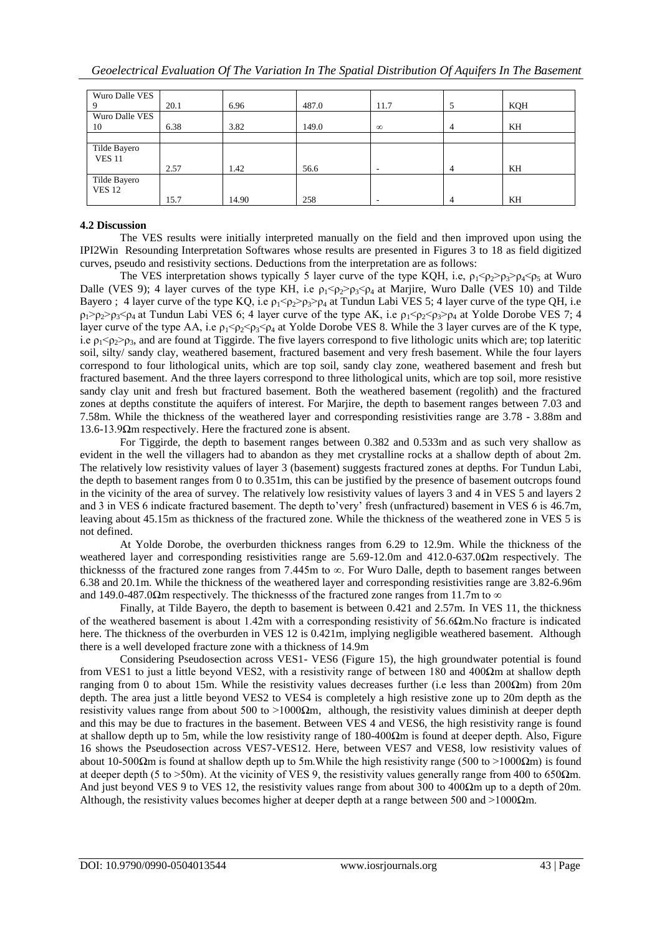| Wuro Dalle VES |      |       |       |                          |   |     |
|----------------|------|-------|-------|--------------------------|---|-----|
|                | 20.1 | 6.96  | 487.0 | 11.7                     | 5 | KQH |
| Wuro Dalle VES |      |       |       |                          |   |     |
| 10             | 6.38 | 3.82  | 149.0 | $\infty$                 | 4 | KH  |
|                |      |       |       |                          |   |     |
| Tilde Bayero   |      |       |       |                          |   |     |
| <b>VES 11</b>  |      |       |       |                          |   |     |
|                | 2.57 | 1.42  | 56.6  | $\overline{\phantom{a}}$ | 4 | KH  |
| Tilde Bayero   |      |       |       |                          |   |     |
| <b>VES 12</b>  |      |       |       |                          |   |     |
|                | 15.7 | 14.90 | 258   | $\overline{\phantom{a}}$ | 4 | KH  |

#### **4.2 Discussion**

The VES results were initially interpreted manually on the field and then improved upon using the IPI2Win Resounding Interpretation Softwares whose results are presented in Figures 3 to 18 as field digitized curves, pseudo and resistivity sections. Deductions from the interpretation are as follows:

The VES interpretation shows typically 5 layer curve of the type KQH, i.e,  $\rho_1 < \rho_2 > \rho_3 > \rho_4 < \rho_5$  at Wuro Dalle (VES 9); 4 layer curves of the type KH, i.e  $\rho_1 < \rho_2 > \rho_3 < \rho_4$  at Marjire, Wuro Dalle (VES 10) and Tilde Bayero ; 4 layer curve of the type KQ, i.e  $\rho_1 \leq \rho_2 \geq \rho_3 \geq \rho_4$  at Tundun Labi VES 5; 4 layer curve of the type QH, i.e  $\rho_1 > \rho_2 > \rho_3 < \rho_4$  at Tundun Labi VES 6; 4 layer curve of the type AK, i.e  $\rho_1 < \rho_2 < \rho_3 > \rho_4$  at Yolde Dorobe VES 7; 4 layer curve of the type AA, i.e  $\rho_1 < \rho_2 < \rho_3 < \rho_4$  at Yolde Dorobe VES 8. While the 3 layer curves are of the K type, i.e  $\rho_1 \leq \rho_2 \geq \rho_3$ , and are found at Tiggirde. The five layers correspond to five lithologic units which are; top lateritic soil, silty/ sandy clay, weathered basement, fractured basement and very fresh basement. While the four layers correspond to four lithological units, which are top soil, sandy clay zone, weathered basement and fresh but fractured basement. And the three layers correspond to three lithological units, which are top soil, more resistive sandy clay unit and fresh but fractured basement. Both the weathered basement (regolith) and the fractured zones at depths constitute the aquifers of interest. For Marjire, the depth to basement ranges between 7.03 and 7.58m. While the thickness of the weathered layer and corresponding resistivities range are 3.78 - 3.88m and 13.6-13.9Ωm respectively. Here the fractured zone is absent.

For Tiggirde, the depth to basement ranges between 0.382 and 0.533m and as such very shallow as evident in the well the villagers had to abandon as they met crystalline rocks at a shallow depth of about 2m. The relatively low resistivity values of layer 3 (basement) suggests fractured zones at depths. For Tundun Labi, the depth to basement ranges from 0 to 0.351m, this can be justified by the presence of basement outcrops found in the vicinity of the area of survey. The relatively low resistivity values of layers 3 and 4 in VES 5 and layers 2 and 3 in VES 6 indicate fractured basement. The depth to'very' fresh (unfractured) basement in VES 6 is 46.7m, leaving about 45.15m as thickness of the fractured zone. While the thickness of the weathered zone in VES 5 is not defined.

At Yolde Dorobe, the overburden thickness ranges from 6.29 to 12.9m. While the thickness of the weathered layer and corresponding resistivities range are 5.69-12.0m and 412.0-637.0Ωm respectively. The thicknesss of the fractured zone ranges from 7.445m to  $\infty$ . For Wuro Dalle, depth to basement ranges between 6.38 and 20.1m. While the thickness of the weathered layer and corresponding resistivities range are 3.82-6.96m and 149.0-487.0 $\Omega$ m respectively. The thicknesss of the fractured zone ranges from 11.7m to  $\infty$ 

Finally, at Tilde Bayero, the depth to basement is between 0.421 and 2.57m. In VES 11, the thickness of the weathered basement is about 1.42m with a corresponding resistivity of 56.6Ωm.No fracture is indicated here. The thickness of the overburden in VES 12 is 0.421m, implying negligible weathered basement. Although there is a well developed fracture zone with a thickness of 14.9m

Considering Pseudosection across VES1- VES6 (Figure 15), the high groundwater potential is found from VES1 to just a little beyond VES2, with a resistivity range of between 180 and 400Ωm at shallow depth ranging from 0 to about 15m. While the resistivity values decreases further (i.e less than 200Ωm) from 20m depth. The area just a little beyond VES2 to VES4 is completely a high resistive zone up to 20m depth as the resistivity values range from about 500 to  $>1000\Omega$ m, although, the resistivity values diminish at deeper depth and this may be due to fractures in the basement. Between VES 4 and VES6, the high resistivity range is found at shallow depth up to 5m, while the low resistivity range of  $180-400\Omega$ m is found at deeper depth. Also, Figure 16 shows the Pseudosection across VES7-VES12. Here, between VES7 and VES8, low resistivity values of about 10-500 $\Omega$ m is found at shallow depth up to 5m. While the high resistivity range (500 to >1000 $\Omega$ m) is found at deeper depth (5 to  $>50$ m). At the vicinity of VES 9, the resistivity values generally range from 400 to 650 $\Omega$ m. And just beyond VES 9 to VES 12, the resistivity values range from about 300 to 400 $\Omega$ m up to a depth of 20m. Although, the resistivity values becomes higher at deeper depth at a range between 500 and  $>1000\Omega$ m.